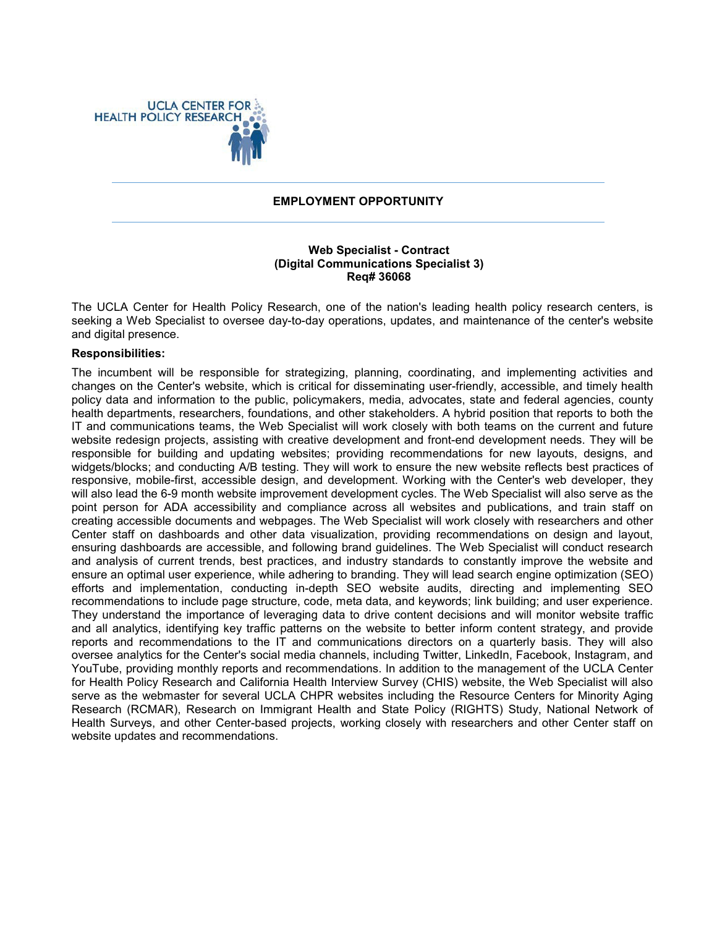

#### **EMPLOYMENT OPPORTUNITY**

### **Web Specialist - Contract (Digital Communications Specialist 3) Req# 36068**

The UCLA Center for Health Policy Research, one of the nation's leading health policy research centers, is seeking a Web Specialist to oversee day-to-day operations, updates, and maintenance of the center's website and digital presence.

#### **Responsibilities:**

The incumbent will be responsible for strategizing, planning, coordinating, and implementing activities and changes on the Center's website, which is critical for disseminating user-friendly, accessible, and timely health policy data and information to the public, policymakers, media, advocates, state and federal agencies, county health departments, researchers, foundations, and other stakeholders. A hybrid position that reports to both the IT and communications teams, the Web Specialist will work closely with both teams on the current and future website redesign projects, assisting with creative development and front-end development needs. They will be responsible for building and updating websites; providing recommendations for new layouts, designs, and widgets/blocks; and conducting A/B testing. They will work to ensure the new website reflects best practices of responsive, mobile-first, accessible design, and development. Working with the Center's web developer, they will also lead the 6-9 month website improvement development cycles. The Web Specialist will also serve as the point person for ADA accessibility and compliance across all websites and publications, and train staff on creating accessible documents and webpages. The Web Specialist will work closely with researchers and other Center staff on dashboards and other data visualization, providing recommendations on design and layout, ensuring dashboards are accessible, and following brand guidelines. The Web Specialist will conduct research and analysis of current trends, best practices, and industry standards to constantly improve the website and ensure an optimal user experience, while adhering to branding. They will lead search engine optimization (SEO) efforts and implementation, conducting in-depth SEO website audits, directing and implementing SEO recommendations to include page structure, code, meta data, and keywords; link building; and user experience. They understand the importance of leveraging data to drive content decisions and will monitor website traffic and all analytics, identifying key traffic patterns on the website to better inform content strategy, and provide reports and recommendations to the IT and communications directors on a quarterly basis. They will also oversee analytics for the Center's social media channels, including Twitter, LinkedIn, Facebook, Instagram, and YouTube, providing monthly reports and recommendations. In addition to the management of the UCLA Center for Health Policy Research and California Health Interview Survey (CHIS) website, the Web Specialist will also serve as the webmaster for several UCLA CHPR websites including the Resource Centers for Minority Aging Research (RCMAR), Research on Immigrant Health and State Policy (RIGHTS) Study, National Network of Health Surveys, and other Center-based projects, working closely with researchers and other Center staff on website updates and recommendations.